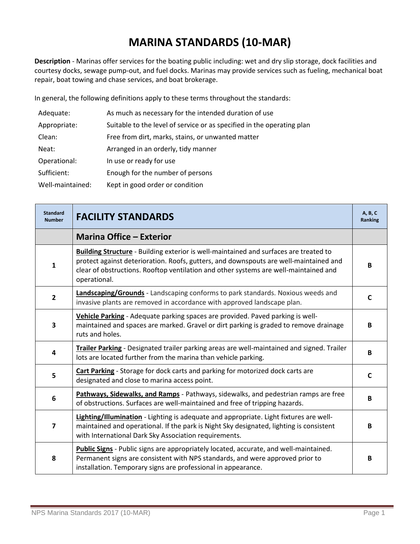## **MARINA STANDARDS (10-MAR)**

**Description** - Marinas offer services for the boating public including: wet and dry slip storage, dock facilities and courtesy docks, sewage pump-out, and fuel docks. Marinas may provide services such as fueling, mechanical boat repair, boat towing and chase services, and boat brokerage.

In general, the following definitions apply to these terms throughout the standards:

| Adequate:        | As much as necessary for the intended duration of use                  |
|------------------|------------------------------------------------------------------------|
| Appropriate:     | Suitable to the level of service or as specified in the operating plan |
| Clean:           | Free from dirt, marks, stains, or unwanted matter                      |
| Neat:            | Arranged in an orderly, tidy manner                                    |
| Operational:     | In use or ready for use                                                |
| Sufficient:      | Enough for the number of persons                                       |
| Well-maintained: | Kept in good order or condition                                        |

| <b>Standard</b><br><b>Number</b> | <b>FACILITY STANDARDS</b>                                                                                                                                                                                                                                                                     | A, B, C<br>Ranking |
|----------------------------------|-----------------------------------------------------------------------------------------------------------------------------------------------------------------------------------------------------------------------------------------------------------------------------------------------|--------------------|
|                                  | <b>Marina Office - Exterior</b>                                                                                                                                                                                                                                                               |                    |
| 1                                | <b>Building Structure</b> - Building exterior is well-maintained and surfaces are treated to<br>protect against deterioration. Roofs, gutters, and downspouts are well-maintained and<br>clear of obstructions. Rooftop ventilation and other systems are well-maintained and<br>operational. | B                  |
| $\mathbf{2}$                     | Landscaping/Grounds - Landscaping conforms to park standards. Noxious weeds and<br>invasive plants are removed in accordance with approved landscape plan.                                                                                                                                    | C                  |
| 3                                | Vehicle Parking - Adequate parking spaces are provided. Paved parking is well-<br>maintained and spaces are marked. Gravel or dirt parking is graded to remove drainage<br>ruts and holes.                                                                                                    | B                  |
| 4                                | Trailer Parking - Designated trailer parking areas are well-maintained and signed. Trailer<br>lots are located further from the marina than vehicle parking.                                                                                                                                  | B                  |
| 5                                | Cart Parking - Storage for dock carts and parking for motorized dock carts are<br>designated and close to marina access point.                                                                                                                                                                | C                  |
| 6                                | Pathways, Sidewalks, and Ramps - Pathways, sidewalks, and pedestrian ramps are free<br>of obstructions. Surfaces are well-maintained and free of tripping hazards.                                                                                                                            | B                  |
| 7                                | Lighting/Illumination - Lighting is adequate and appropriate. Light fixtures are well-<br>maintained and operational. If the park is Night Sky designated, lighting is consistent<br>with International Dark Sky Association requirements.                                                    | B                  |
| 8                                | Public Signs - Public signs are appropriately located, accurate, and well-maintained.<br>Permanent signs are consistent with NPS standards, and were approved prior to<br>installation. Temporary signs are professional in appearance.                                                       | B                  |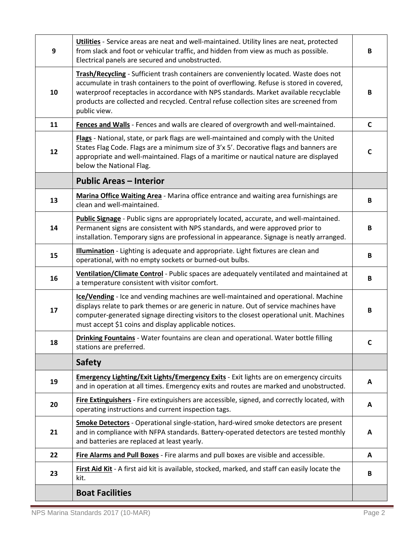| $\boldsymbol{9}$ | Utilities - Service areas are neat and well-maintained. Utility lines are neat, protected<br>from slack and foot or vehicular traffic, and hidden from view as much as possible.<br>Electrical panels are secured and unobstructed.                                                                                                                                                  | В            |
|------------------|--------------------------------------------------------------------------------------------------------------------------------------------------------------------------------------------------------------------------------------------------------------------------------------------------------------------------------------------------------------------------------------|--------------|
| 10               | Trash/Recycling - Sufficient trash containers are conveniently located. Waste does not<br>accumulate in trash containers to the point of overflowing. Refuse is stored in covered,<br>waterproof receptacles in accordance with NPS standards. Market available recyclable<br>products are collected and recycled. Central refuse collection sites are screened from<br>public view. | В            |
| 11               | Fences and Walls - Fences and walls are cleared of overgrowth and well-maintained.                                                                                                                                                                                                                                                                                                   | C            |
| 12               | Flags - National, state, or park flags are well-maintained and comply with the United<br>States Flag Code. Flags are a minimum size of 3'x 5'. Decorative flags and banners are<br>appropriate and well-maintained. Flags of a maritime or nautical nature are displayed<br>below the National Flag.                                                                                 | C            |
|                  | <b>Public Areas - Interior</b>                                                                                                                                                                                                                                                                                                                                                       |              |
| 13               | Marina Office Waiting Area - Marina office entrance and waiting area furnishings are<br>clean and well-maintained.                                                                                                                                                                                                                                                                   | B            |
| 14               | Public Signage - Public signs are appropriately located, accurate, and well-maintained.<br>Permanent signs are consistent with NPS standards, and were approved prior to<br>installation. Temporary signs are professional in appearance. Signage is neatly arranged.                                                                                                                | B            |
| 15               | Illumination - Lighting is adequate and appropriate. Light fixtures are clean and<br>operational, with no empty sockets or burned-out bulbs.                                                                                                                                                                                                                                         | В            |
| 16               | Ventilation/Climate Control - Public spaces are adequately ventilated and maintained at<br>a temperature consistent with visitor comfort.                                                                                                                                                                                                                                            | В            |
| 17               | Ice/Vending - Ice and vending machines are well-maintained and operational. Machine<br>displays relate to park themes or are generic in nature. Out of service machines have<br>computer-generated signage directing visitors to the closest operational unit. Machines<br>must accept \$1 coins and display applicable notices.                                                     | B            |
| 18               | Drinking Fountains - Water fountains are clean and operational. Water bottle filling<br>stations are preferred.                                                                                                                                                                                                                                                                      |              |
|                  | <b>Safety</b>                                                                                                                                                                                                                                                                                                                                                                        |              |
| 19               | Emergency Lighting/Exit Lights/Emergency Exits - Exit lights are on emergency circuits<br>and in operation at all times. Emergency exits and routes are marked and unobstructed.                                                                                                                                                                                                     | A            |
| 20               | Fire Extinguishers - Fire extinguishers are accessible, signed, and correctly located, with<br>operating instructions and current inspection tags.                                                                                                                                                                                                                                   | A            |
| 21               | Smoke Detectors - Operational single-station, hard-wired smoke detectors are present<br>and in compliance with NFPA standards. Battery-operated detectors are tested monthly<br>and batteries are replaced at least yearly.                                                                                                                                                          | A            |
| 22               | Fire Alarms and Pull Boxes - Fire alarms and pull boxes are visible and accessible.                                                                                                                                                                                                                                                                                                  | $\mathbf{A}$ |
| 23               | First Aid Kit - A first aid kit is available, stocked, marked, and staff can easily locate the<br>kit.                                                                                                                                                                                                                                                                               | В            |
|                  | <b>Boat Facilities</b>                                                                                                                                                                                                                                                                                                                                                               |              |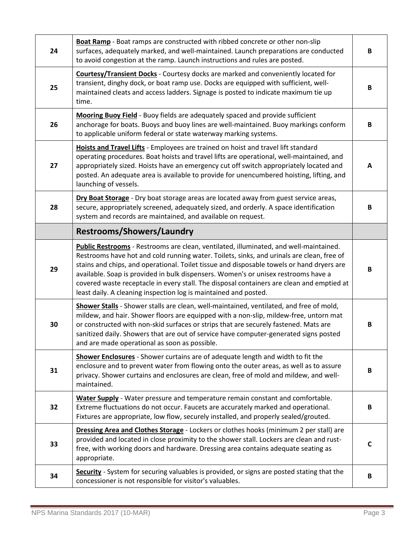| 24 | Boat Ramp - Boat ramps are constructed with ribbed concrete or other non-slip<br>surfaces, adequately marked, and well-maintained. Launch preparations are conducted<br>to avoid congestion at the ramp. Launch instructions and rules are posted.                                                                                                                                                                 | B |
|----|--------------------------------------------------------------------------------------------------------------------------------------------------------------------------------------------------------------------------------------------------------------------------------------------------------------------------------------------------------------------------------------------------------------------|---|
| 25 | Courtesy/Transient Docks - Courtesy docks are marked and conveniently located for<br>transient, dinghy dock, or boat ramp use. Docks are equipped with sufficient, well-<br>maintained cleats and access ladders. Signage is posted to indicate maximum tie up<br>time.                                                                                                                                            | B |
| 26 | Mooring Buoy Field - Buoy fields are adequately spaced and provide sufficient<br>anchorage for boats. Buoys and buoy lines are well-maintained. Buoy markings conform<br>to applicable uniform federal or state waterway marking systems.                                                                                                                                                                          | B |
| 27 | Hoists and Travel Lifts - Employees are trained on hoist and travel lift standard<br>operating procedures. Boat hoists and travel lifts are operational, well-maintained, and<br>appropriately sized. Hoists have an emergency cut off switch appropriately located and<br>posted. An adequate area is available to provide for unencumbered hoisting, lifting, and<br>launching of vessels.                       | A |
| 28 | Dry Boat Storage - Dry boat storage areas are located away from guest service areas,<br>secure, appropriately screened, adequately sized, and orderly. A space identification<br>system and records are maintained, and available on request.                                                                                                                                                                      | В |
|    | <b>Restrooms/Showers/Laundry</b>                                                                                                                                                                                                                                                                                                                                                                                   |   |
|    | Public Restrooms - Restrooms are clean, ventilated, illuminated, and well-maintained.<br>Restrooms have hot and cold running water. Toilets, sinks, and urinals are clean, free of<br>stains and chips, and operational. Toilet tissue and disposable towels or hand dryers are                                                                                                                                    |   |
| 29 | available. Soap is provided in bulk dispensers. Women's or unisex restrooms have a<br>covered waste receptacle in every stall. The disposal containers are clean and emptied at<br>least daily. A cleaning inspection log is maintained and posted.                                                                                                                                                                | B |
| 30 | Shower Stalls - Shower stalls are clean, well-maintained, ventilated, and free of mold,<br>mildew, and hair. Shower floors are equipped with a non-slip, mildew-free, untorn mat<br>or constructed with non-skid surfaces or strips that are securely fastened. Mats are<br>sanitized daily. Showers that are out of service have computer-generated signs posted<br>and are made operational as soon as possible. | B |
| 31 | Shower Enclosures - Shower curtains are of adequate length and width to fit the<br>enclosure and to prevent water from flowing onto the outer areas, as well as to assure<br>privacy. Shower curtains and enclosures are clean, free of mold and mildew, and well-<br>maintained.                                                                                                                                  | В |
| 32 | Water Supply - Water pressure and temperature remain constant and comfortable.<br>Extreme fluctuations do not occur. Faucets are accurately marked and operational.<br>Fixtures are appropriate, low flow, securely installed, and properly sealed/grouted.                                                                                                                                                        | B |
| 33 | Dressing Area and Clothes Storage - Lockers or clothes hooks (minimum 2 per stall) are<br>provided and located in close proximity to the shower stall. Lockers are clean and rust-<br>free, with working doors and hardware. Dressing area contains adequate seating as<br>appropriate.                                                                                                                            | С |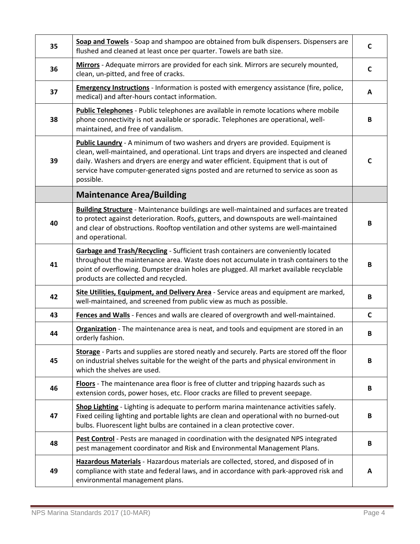| 35 | Soap and Towels - Soap and shampoo are obtained from bulk dispensers. Dispensers are<br>flushed and cleaned at least once per quarter. Towels are bath size.                                                                                                                                                                                                                 | C            |
|----|------------------------------------------------------------------------------------------------------------------------------------------------------------------------------------------------------------------------------------------------------------------------------------------------------------------------------------------------------------------------------|--------------|
| 36 | Mirrors - Adequate mirrors are provided for each sink. Mirrors are securely mounted,<br>clean, un-pitted, and free of cracks.                                                                                                                                                                                                                                                | C            |
| 37 | <b>Emergency Instructions</b> - Information is posted with emergency assistance (fire, police,<br>medical) and after-hours contact information.                                                                                                                                                                                                                              | A            |
| 38 | Public Telephones - Public telephones are available in remote locations where mobile<br>phone connectivity is not available or sporadic. Telephones are operational, well-<br>maintained, and free of vandalism.                                                                                                                                                             | B            |
| 39 | <b>Public Laundry</b> - A minimum of two washers and dryers are provided. Equipment is<br>clean, well-maintained, and operational. Lint traps and dryers are inspected and cleaned<br>daily. Washers and dryers are energy and water efficient. Equipment that is out of<br>service have computer-generated signs posted and are returned to service as soon as<br>possible. | C            |
|    | <b>Maintenance Area/Building</b>                                                                                                                                                                                                                                                                                                                                             |              |
| 40 | <b>Building Structure</b> - Maintenance buildings are well-maintained and surfaces are treated<br>to protect against deterioration. Roofs, gutters, and downspouts are well-maintained<br>and clear of obstructions. Rooftop ventilation and other systems are well-maintained<br>and operational.                                                                           | В            |
| 41 | Garbage and Trash/Recycling - Sufficient trash containers are conveniently located<br>throughout the maintenance area. Waste does not accumulate in trash containers to the<br>point of overflowing. Dumpster drain holes are plugged. All market available recyclable<br>products are collected and recycled.                                                               | В            |
| 42 | Site Utilities, Equipment, and Delivery Area - Service areas and equipment are marked,<br>well-maintained, and screened from public view as much as possible.                                                                                                                                                                                                                | В            |
| 43 | Fences and Walls - Fences and walls are cleared of overgrowth and well-maintained.                                                                                                                                                                                                                                                                                           | $\mathsf{C}$ |
| 44 | Organization - The maintenance area is neat, and tools and equipment are stored in an<br>orderly fashion.                                                                                                                                                                                                                                                                    | В            |
| 45 | Storage - Parts and supplies are stored neatly and securely. Parts are stored off the floor<br>on industrial shelves suitable for the weight of the parts and physical environment in<br>which the shelves are used.                                                                                                                                                         | В            |
| 46 | Floors - The maintenance area floor is free of clutter and tripping hazards such as<br>extension cords, power hoses, etc. Floor cracks are filled to prevent seepage.                                                                                                                                                                                                        | B            |
| 47 | Shop Lighting - Lighting is adequate to perform marina maintenance activities safely.<br>Fixed ceiling lighting and portable lights are clean and operational with no burned-out<br>bulbs. Fluorescent light bulbs are contained in a clean protective cover.                                                                                                                | В            |
| 48 | Pest Control - Pests are managed in coordination with the designated NPS integrated<br>pest management coordinator and Risk and Environmental Management Plans.                                                                                                                                                                                                              | B            |
| 49 | Hazardous Materials - Hazardous materials are collected, stored, and disposed of in<br>compliance with state and federal laws, and in accordance with park-approved risk and<br>environmental management plans.                                                                                                                                                              | A            |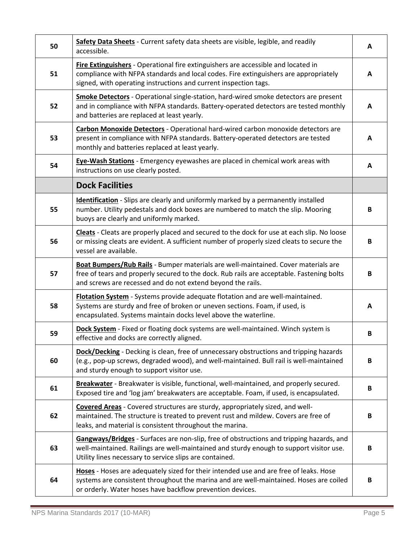| 50 | Safety Data Sheets - Current safety data sheets are visible, legible, and readily<br>accessible.                                                                                                                                               | A |
|----|------------------------------------------------------------------------------------------------------------------------------------------------------------------------------------------------------------------------------------------------|---|
| 51 | Fire Extinguishers - Operational fire extinguishers are accessible and located in<br>compliance with NFPA standards and local codes. Fire extinguishers are appropriately<br>signed, with operating instructions and current inspection tags.  | A |
| 52 | Smoke Detectors - Operational single-station, hard-wired smoke detectors are present<br>and in compliance with NFPA standards. Battery-operated detectors are tested monthly<br>and batteries are replaced at least yearly.                    | A |
| 53 | <b>Carbon Monoxide Detectors</b> - Operational hard-wired carbon monoxide detectors are<br>present in compliance with NFPA standards. Battery-operated detectors are tested<br>monthly and batteries replaced at least yearly.                 | A |
| 54 | <b>Eye-Wash Stations</b> - Emergency eyewashes are placed in chemical work areas with<br>instructions on use clearly posted.                                                                                                                   | A |
|    | <b>Dock Facilities</b>                                                                                                                                                                                                                         |   |
| 55 | <b>Identification</b> - Slips are clearly and uniformly marked by a permanently installed<br>number. Utility pedestals and dock boxes are numbered to match the slip. Mooring<br>buoys are clearly and uniformly marked.                       | В |
| 56 | Cleats - Cleats are properly placed and secured to the dock for use at each slip. No loose<br>or missing cleats are evident. A sufficient number of properly sized cleats to secure the<br>vessel are available.                               | B |
| 57 | Boat Bumpers/Rub Rails - Bumper materials are well-maintained. Cover materials are<br>free of tears and properly secured to the dock. Rub rails are acceptable. Fastening bolts<br>and screws are recessed and do not extend beyond the rails. | В |
| 58 | Flotation System - Systems provide adequate flotation and are well-maintained.<br>Systems are sturdy and free of broken or uneven sections. Foam, if used, is<br>encapsulated. Systems maintain docks level above the waterline.               | A |
| 59 | Dock System - Fixed or floating dock systems are well-maintained. Winch system is<br>effective and docks are correctly aligned.                                                                                                                | В |
| 60 | <b>Dock/Decking</b> - Decking is clean, free of unnecessary obstructions and tripping hazards<br>(e.g., pop-up screws, degraded wood), and well-maintained. Bull rail is well-maintained<br>and sturdy enough to support visitor use.          | B |
| 61 | Breakwater - Breakwater is visible, functional, well-maintained, and properly secured.<br>Exposed tire and 'log jam' breakwaters are acceptable. Foam, if used, is encapsulated.                                                               | B |
| 62 | Covered Areas - Covered structures are sturdy, appropriately sized, and well-<br>maintained. The structure is treated to prevent rust and mildew. Covers are free of<br>leaks, and material is consistent throughout the marina.               | В |
| 63 | Gangways/Bridges - Surfaces are non-slip, free of obstructions and tripping hazards, and<br>well-maintained. Railings are well-maintained and sturdy enough to support visitor use.<br>Utility lines necessary to service slips are contained. | B |
| 64 | Hoses - Hoses are adequately sized for their intended use and are free of leaks. Hose<br>systems are consistent throughout the marina and are well-maintained. Hoses are coiled<br>or orderly. Water hoses have backflow prevention devices.   | В |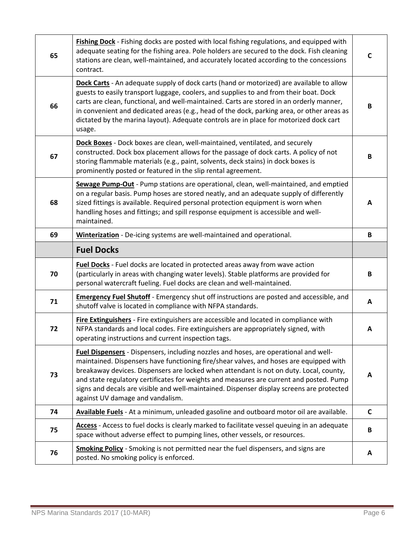| 65 | Fishing Dock - Fishing docks are posted with local fishing regulations, and equipped with<br>adequate seating for the fishing area. Pole holders are secured to the dock. Fish cleaning<br>stations are clean, well-maintained, and accurately located according to the concessions<br>contract.                                                                                                                                                                                                     | C            |
|----|------------------------------------------------------------------------------------------------------------------------------------------------------------------------------------------------------------------------------------------------------------------------------------------------------------------------------------------------------------------------------------------------------------------------------------------------------------------------------------------------------|--------------|
| 66 | Dock Carts - An adequate supply of dock carts (hand or motorized) are available to allow<br>guests to easily transport luggage, coolers, and supplies to and from their boat. Dock<br>carts are clean, functional, and well-maintained. Carts are stored in an orderly manner,<br>in convenient and dedicated areas (e.g., head of the dock, parking area, or other areas as<br>dictated by the marina layout). Adequate controls are in place for motorized dock cart<br>usage.                     | B            |
| 67 | Dock Boxes - Dock boxes are clean, well-maintained, ventilated, and securely<br>constructed. Dock box placement allows for the passage of dock carts. A policy of not<br>storing flammable materials (e.g., paint, solvents, deck stains) in dock boxes is<br>prominently posted or featured in the slip rental agreement.                                                                                                                                                                           | B            |
| 68 | Sewage Pump-Out - Pump stations are operational, clean, well-maintained, and emptied<br>on a regular basis. Pump hoses are stored neatly, and an adequate supply of differently<br>sized fittings is available. Required personal protection equipment is worn when<br>handling hoses and fittings; and spill response equipment is accessible and well-<br>maintained.                                                                                                                              | A            |
| 69 | Winterization - De-icing systems are well-maintained and operational.                                                                                                                                                                                                                                                                                                                                                                                                                                | B            |
|    | <b>Fuel Docks</b>                                                                                                                                                                                                                                                                                                                                                                                                                                                                                    |              |
| 70 | Fuel Docks - Fuel docks are located in protected areas away from wave action<br>(particularly in areas with changing water levels). Stable platforms are provided for<br>personal watercraft fueling. Fuel docks are clean and well-maintained.                                                                                                                                                                                                                                                      | B            |
| 71 | <b>Emergency Fuel Shutoff</b> - Emergency shut off instructions are posted and accessible, and<br>shutoff valve is located in compliance with NFPA standards.                                                                                                                                                                                                                                                                                                                                        | Α            |
| 72 | Fire Extinguishers - Fire extinguishers are accessible and located in compliance with<br>NFPA standards and local codes. Fire extinguishers are appropriately signed, with<br>operating instructions and current inspection tags.                                                                                                                                                                                                                                                                    | A            |
| 73 | Fuel Dispensers - Dispensers, including nozzles and hoses, are operational and well-<br>maintained. Dispensers have functioning fire/shear valves, and hoses are equipped with<br>breakaway devices. Dispensers are locked when attendant is not on duty. Local, county,<br>and state regulatory certificates for weights and measures are current and posted. Pump<br>signs and decals are visible and well-maintained. Dispenser display screens are protected<br>against UV damage and vandalism. | A            |
| 74 | Available Fuels - At a minimum, unleaded gasoline and outboard motor oil are available.                                                                                                                                                                                                                                                                                                                                                                                                              | $\mathsf{C}$ |
| 75 | Access - Access to fuel docks is clearly marked to facilitate vessel queuing in an adequate<br>space without adverse effect to pumping lines, other vessels, or resources.                                                                                                                                                                                                                                                                                                                           | B            |
| 76 | <b>Smoking Policy</b> - Smoking is not permitted near the fuel dispensers, and signs are<br>posted. No smoking policy is enforced.                                                                                                                                                                                                                                                                                                                                                                   | A            |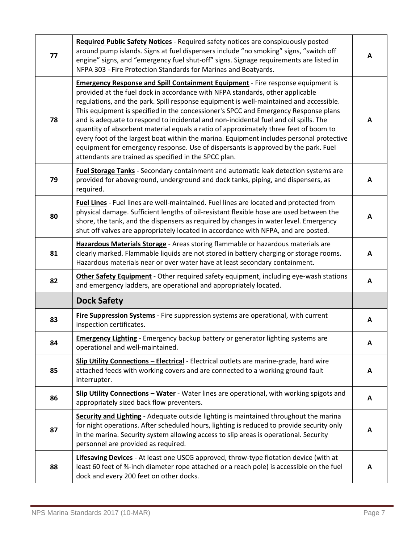| 77 | Required Public Safety Notices - Required safety notices are conspicuously posted<br>around pump islands. Signs at fuel dispensers include "no smoking" signs, "switch off<br>engine" signs, and "emergency fuel shut-off" signs. Signage requirements are listed in<br>NFPA 303 - Fire Protection Standards for Marinas and Boatyards.                                                                                                                                                                                                                                                                                                                                                                                                                                             | A |
|----|-------------------------------------------------------------------------------------------------------------------------------------------------------------------------------------------------------------------------------------------------------------------------------------------------------------------------------------------------------------------------------------------------------------------------------------------------------------------------------------------------------------------------------------------------------------------------------------------------------------------------------------------------------------------------------------------------------------------------------------------------------------------------------------|---|
| 78 | <b>Emergency Response and Spill Containment Equipment</b> - Fire response equipment is<br>provided at the fuel dock in accordance with NFPA standards, other applicable<br>regulations, and the park. Spill response equipment is well-maintained and accessible.<br>This equipment is specified in the concessioner's SPCC and Emergency Response plans<br>and is adequate to respond to incidental and non-incidental fuel and oil spills. The<br>quantity of absorbent material equals a ratio of approximately three feet of boom to<br>every foot of the largest boat within the marina. Equipment includes personal protective<br>equipment for emergency response. Use of dispersants is approved by the park. Fuel<br>attendants are trained as specified in the SPCC plan. | А |
| 79 | Fuel Storage Tanks - Secondary containment and automatic leak detection systems are<br>provided for aboveground, underground and dock tanks, piping, and dispensers, as<br>required.                                                                                                                                                                                                                                                                                                                                                                                                                                                                                                                                                                                                | A |
| 80 | Fuel Lines - Fuel lines are well-maintained. Fuel lines are located and protected from<br>physical damage. Sufficient lengths of oil-resistant flexible hose are used between the<br>shore, the tank, and the dispensers as required by changes in water level. Emergency<br>shut off valves are appropriately located in accordance with NFPA, and are posted.                                                                                                                                                                                                                                                                                                                                                                                                                     | A |
| 81 | Hazardous Materials Storage - Areas storing flammable or hazardous materials are<br>clearly marked. Flammable liquids are not stored in battery charging or storage rooms.<br>Hazardous materials near or over water have at least secondary containment.                                                                                                                                                                                                                                                                                                                                                                                                                                                                                                                           | A |
| 82 | Other Safety Equipment - Other required safety equipment, including eye-wash stations<br>and emergency ladders, are operational and appropriately located.                                                                                                                                                                                                                                                                                                                                                                                                                                                                                                                                                                                                                          | A |
|    | <b>Dock Safety</b>                                                                                                                                                                                                                                                                                                                                                                                                                                                                                                                                                                                                                                                                                                                                                                  |   |
| 83 | Fire Suppression Systems - Fire suppression systems are operational, with current<br>inspection certificates.                                                                                                                                                                                                                                                                                                                                                                                                                                                                                                                                                                                                                                                                       | A |
| 84 | <b>Emergency Lighting</b> - Emergency backup battery or generator lighting systems are<br>operational and well-maintained.                                                                                                                                                                                                                                                                                                                                                                                                                                                                                                                                                                                                                                                          | A |
| 85 | Slip Utility Connections - Electrical - Electrical outlets are marine-grade, hard wire<br>attached feeds with working covers and are connected to a working ground fault<br>interrupter.                                                                                                                                                                                                                                                                                                                                                                                                                                                                                                                                                                                            | A |
| 86 | Slip Utility Connections - Water - Water lines are operational, with working spigots and<br>appropriately sized back flow preventers.                                                                                                                                                                                                                                                                                                                                                                                                                                                                                                                                                                                                                                               | A |
| 87 | Security and Lighting - Adequate outside lighting is maintained throughout the marina<br>for night operations. After scheduled hours, lighting is reduced to provide security only<br>in the marina. Security system allowing access to slip areas is operational. Security<br>personnel are provided as required.                                                                                                                                                                                                                                                                                                                                                                                                                                                                  | A |
| 88 | Lifesaving Devices - At least one USCG approved, throw-type flotation device (with at<br>least 60 feet of %-inch diameter rope attached or a reach pole) is accessible on the fuel<br>dock and every 200 feet on other docks.                                                                                                                                                                                                                                                                                                                                                                                                                                                                                                                                                       | A |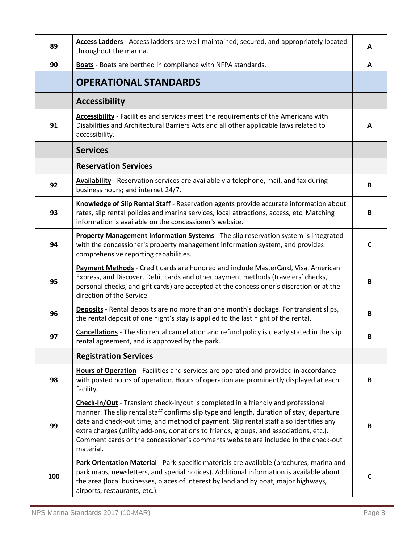| 89  | Access Ladders - Access ladders are well-maintained, secured, and appropriately located<br>throughout the marina.                                                                                                                                                                                                                                                                                                                                                   | A            |
|-----|---------------------------------------------------------------------------------------------------------------------------------------------------------------------------------------------------------------------------------------------------------------------------------------------------------------------------------------------------------------------------------------------------------------------------------------------------------------------|--------------|
| 90  | Boats - Boats are berthed in compliance with NFPA standards.                                                                                                                                                                                                                                                                                                                                                                                                        | A            |
|     | <b>OPERATIONAL STANDARDS</b>                                                                                                                                                                                                                                                                                                                                                                                                                                        |              |
|     | <b>Accessibility</b>                                                                                                                                                                                                                                                                                                                                                                                                                                                |              |
| 91  | Accessibility - Facilities and services meet the requirements of the Americans with<br>Disabilities and Architectural Barriers Acts and all other applicable laws related to<br>accessibility.                                                                                                                                                                                                                                                                      | A            |
|     | <b>Services</b>                                                                                                                                                                                                                                                                                                                                                                                                                                                     |              |
|     | <b>Reservation Services</b>                                                                                                                                                                                                                                                                                                                                                                                                                                         |              |
| 92  | Availability - Reservation services are available via telephone, mail, and fax during<br>business hours; and internet 24/7.                                                                                                                                                                                                                                                                                                                                         | B            |
| 93  | Knowledge of Slip Rental Staff - Reservation agents provide accurate information about<br>rates, slip rental policies and marina services, local attractions, access, etc. Matching<br>information is available on the concessioner's website.                                                                                                                                                                                                                      | B            |
| 94  | Property Management Information Systems - The slip reservation system is integrated<br>with the concessioner's property management information system, and provides<br>comprehensive reporting capabilities.                                                                                                                                                                                                                                                        | $\mathsf{C}$ |
| 95  | Payment Methods - Credit cards are honored and include MasterCard, Visa, American<br>Express, and Discover. Debit cards and other payment methods (travelers' checks,<br>personal checks, and gift cards) are accepted at the concessioner's discretion or at the<br>direction of the Service.                                                                                                                                                                      | B            |
| 96  | Deposits - Rental deposits are no more than one month's dockage. For transient slips,<br>the rental deposit of one night's stay is applied to the last night of the rental.                                                                                                                                                                                                                                                                                         | B            |
| 97  | Cancellations - The slip rental cancellation and refund policy is clearly stated in the slip<br>rental agreement, and is approved by the park.                                                                                                                                                                                                                                                                                                                      | B            |
|     | <b>Registration Services</b>                                                                                                                                                                                                                                                                                                                                                                                                                                        |              |
| 98  | Hours of Operation - Facilities and services are operated and provided in accordance<br>with posted hours of operation. Hours of operation are prominently displayed at each<br>facility.                                                                                                                                                                                                                                                                           | B            |
| 99  | Check-In/Out - Transient check-in/out is completed in a friendly and professional<br>manner. The slip rental staff confirms slip type and length, duration of stay, departure<br>date and check-out time, and method of payment. Slip rental staff also identifies any<br>extra charges (utility add-ons, donations to friends, groups, and associations, etc.).<br>Comment cards or the concessioner's comments website are included in the check-out<br>material. | B            |
| 100 | Park Orientation Material - Park-specific materials are available (brochures, marina and<br>park maps, newsletters, and special notices). Additional information is available about<br>the area (local businesses, places of interest by land and by boat, major highways,<br>airports, restaurants, etc.).                                                                                                                                                         | C            |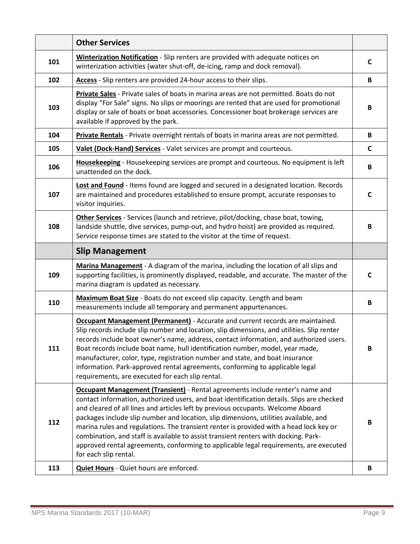|     | <b>Other Services</b>                                                                                                                                                                                                                                                                                                                                                                                                                                                                                                                                                                                                                                            |   |
|-----|------------------------------------------------------------------------------------------------------------------------------------------------------------------------------------------------------------------------------------------------------------------------------------------------------------------------------------------------------------------------------------------------------------------------------------------------------------------------------------------------------------------------------------------------------------------------------------------------------------------------------------------------------------------|---|
| 101 | <b>Winterization Notification</b> - Slip renters are provided with adequate notices on<br>winterization activities (water shut-off, de-icing, ramp and dock removal).                                                                                                                                                                                                                                                                                                                                                                                                                                                                                            | C |
| 102 | Access - Slip renters are provided 24-hour access to their slips.                                                                                                                                                                                                                                                                                                                                                                                                                                                                                                                                                                                                | B |
| 103 | Private Sales - Private sales of boats in marina areas are not permitted. Boats do not<br>display "For Sale" signs. No slips or moorings are rented that are used for promotional<br>display or sale of boats or boat accessories. Concessioner boat brokerage services are<br>available if approved by the park.                                                                                                                                                                                                                                                                                                                                                | B |
| 104 | Private Rentals - Private overnight rentals of boats in marina areas are not permitted.                                                                                                                                                                                                                                                                                                                                                                                                                                                                                                                                                                          | B |
| 105 | Valet (Dock-Hand) Services - Valet services are prompt and courteous.                                                                                                                                                                                                                                                                                                                                                                                                                                                                                                                                                                                            | C |
| 106 | Housekeeping - Housekeeping services are prompt and courteous. No equipment is left<br>unattended on the dock.                                                                                                                                                                                                                                                                                                                                                                                                                                                                                                                                                   | В |
| 107 | Lost and Found - Items found are logged and secured in a designated location. Records<br>are maintained and procedures established to ensure prompt, accurate responses to<br>visitor inquiries.                                                                                                                                                                                                                                                                                                                                                                                                                                                                 | C |
| 108 | Other Services - Services (launch and retrieve, pilot/docking, chase boat, towing,<br>landside shuttle, dive services, pump-out, and hydro hoist) are provided as required.<br>Service response times are stated to the visitor at the time of request.                                                                                                                                                                                                                                                                                                                                                                                                          | B |
|     | <b>Slip Management</b>                                                                                                                                                                                                                                                                                                                                                                                                                                                                                                                                                                                                                                           |   |
| 109 | Marina Management - A diagram of the marina, including the location of all slips and<br>supporting facilities, is prominently displayed, readable, and accurate. The master of the<br>marina diagram is updated as necessary.                                                                                                                                                                                                                                                                                                                                                                                                                                    | C |
| 110 | Maximum Boat Size - Boats do not exceed slip capacity. Length and beam<br>measurements include all temporary and permanent appurtenances.                                                                                                                                                                                                                                                                                                                                                                                                                                                                                                                        | В |
| 111 | <b>Occupant Management (Permanent)</b> - Accurate and current records are maintained.<br>Slip records include slip number and location, slip dimensions, and utilities. Slip renter<br>records include boat owner's name, address, contact information, and authorized users.<br>Boat records include boat name, hull identification number, model, year made,<br>manufacturer, color, type, registration number and state, and boat insurance<br>information. Park-approved rental agreements, conforming to applicable legal<br>requirements, are executed for each slip rental.                                                                               | B |
| 112 | <b>Occupant Management (Transient)</b> - Rental agreements include renter's name and<br>contact information, authorized users, and boat identification details. Slips are checked<br>and cleared of all lines and articles left by previous occupants. Welcome Aboard<br>packages include slip number and location, slip dimensions, utilities available, and<br>marina rules and regulations. The transient renter is provided with a head lock key or<br>combination, and staff is available to assist transient renters with docking. Park-<br>approved rental agreements, conforming to applicable legal requirements, are executed<br>for each slip rental. | В |
| 113 | Quiet Hours - Quiet hours are enforced.                                                                                                                                                                                                                                                                                                                                                                                                                                                                                                                                                                                                                          | В |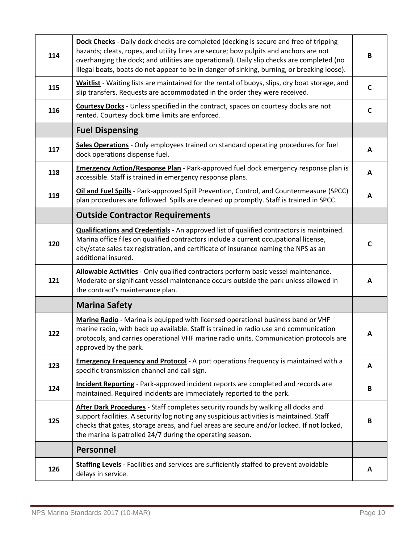| 114 | Dock Checks - Daily dock checks are completed (decking is secure and free of tripping<br>hazards; cleats, ropes, and utility lines are secure; bow pulpits and anchors are not<br>overhanging the dock; and utilities are operational). Daily slip checks are completed (no<br>illegal boats, boats do not appear to be in danger of sinking, burning, or breaking loose). | B            |
|-----|----------------------------------------------------------------------------------------------------------------------------------------------------------------------------------------------------------------------------------------------------------------------------------------------------------------------------------------------------------------------------|--------------|
| 115 | Waitlist - Waiting lists are maintained for the rental of buoys, slips, dry boat storage, and<br>slip transfers. Requests are accommodated in the order they were received.                                                                                                                                                                                                | $\mathsf{C}$ |
| 116 | Courtesy Docks - Unless specified in the contract, spaces on courtesy docks are not<br>rented. Courtesy dock time limits are enforced.                                                                                                                                                                                                                                     | C            |
|     | <b>Fuel Dispensing</b>                                                                                                                                                                                                                                                                                                                                                     |              |
| 117 | Sales Operations - Only employees trained on standard operating procedures for fuel<br>dock operations dispense fuel.                                                                                                                                                                                                                                                      | A            |
| 118 | Emergency Action/Response Plan - Park-approved fuel dock emergency response plan is<br>accessible. Staff is trained in emergency response plans.                                                                                                                                                                                                                           | A            |
| 119 | Oil and Fuel Spills - Park-approved Spill Prevention, Control, and Countermeasure (SPCC)<br>plan procedures are followed. Spills are cleaned up promptly. Staff is trained in SPCC.                                                                                                                                                                                        | A            |
|     | <b>Outside Contractor Requirements</b>                                                                                                                                                                                                                                                                                                                                     |              |
| 120 | Qualifications and Credentials - An approved list of qualified contractors is maintained.<br>Marina office files on qualified contractors include a current occupational license,<br>city/state sales tax registration, and certificate of insurance naming the NPS as an<br>additional insured.                                                                           | $\mathsf{C}$ |
| 121 | Allowable Activities - Only qualified contractors perform basic vessel maintenance.<br>Moderate or significant vessel maintenance occurs outside the park unless allowed in<br>the contract's maintenance plan.                                                                                                                                                            | A            |
|     | <b>Marina Safety</b>                                                                                                                                                                                                                                                                                                                                                       |              |
| 122 | Marine Radio - Marina is equipped with licensed operational business band or VHF<br>marine radio, with back up available. Staff is trained in radio use and communication<br>protocols, and carries operational VHF marine radio units. Communication protocols are<br>approved by the park.                                                                               | A            |
| 123 | <b>Emergency Frequency and Protocol</b> - A port operations frequency is maintained with a<br>specific transmission channel and call sign.                                                                                                                                                                                                                                 | A            |
| 124 | Incident Reporting - Park-approved incident reports are completed and records are<br>maintained. Required incidents are immediately reported to the park.                                                                                                                                                                                                                  | B            |
| 125 | After Dark Procedures - Staff completes security rounds by walking all docks and<br>support facilities. A security log noting any suspicious activities is maintained. Staff<br>checks that gates, storage areas, and fuel areas are secure and/or locked. If not locked,<br>the marina is patrolled 24/7 during the operating season.                                     | B            |
|     | <b>Personnel</b>                                                                                                                                                                                                                                                                                                                                                           |              |
| 126 | Staffing Levels - Facilities and services are sufficiently staffed to prevent avoidable<br>delays in service.                                                                                                                                                                                                                                                              | A            |